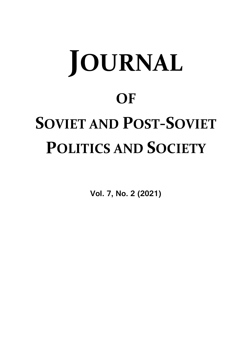# **JOURNAL OF SOVIET AND POST-SOVIET POLITICS AND SOCIETY**

**Vol. 7, No. 2 (2021)**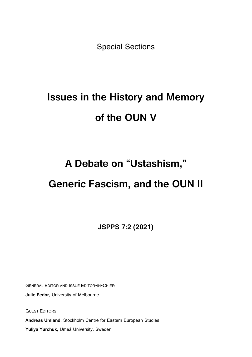Special Sections

## **Issues in the History and Memory of the OUN V**

## **A Debate on "Ustashism,"**

## **Generic Fascism, and the OUN II**

**JSPPS 7:2 (2021)**

GENERAL EDITOR AND ISSUE EDITOR-IN-CHIEF:

**Julie Fedor,** University of Melbourne

GUEST EDITORS:

**Andreas Umland,** Stockholm Centre for Eastern European Studies

**Yuliya Yurchuk**, Umeå University, Sweden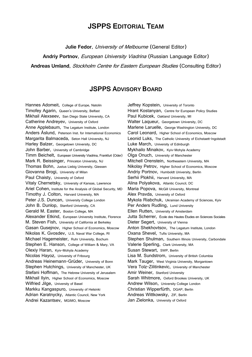#### **JSPPS EDITORIAL TEAM**

**Julie Fedor**, University of Melbourne (General Editor)

**Andriy Portnov**, European University Viadrina (Russian Language Editor) **Andreas Umland**, Stockholm Centre for Eastern European Studies (Consulting Editor)

#### **JSPPS ADVISORY BOARD**

Hannes Adomeit, College of Europe, Natolin Timofey Agarin, Queen's University, Belfast Mikhail Alexseev, San Diego State University, CA Catherine Andreyev, University of Oxford Anne Applebaum, The Legatum Institute, London Anders Åslund, Peterson Inst. for International Economics Margarita Balmaceda, Seton Hall University, NJ Harley Balzer, Georgetown University, DC John Barber, University of Cambridge Timm Beichelt, European University Viadrina, Frankfurt (Oder) Mark R. Beissinger, Princeton University, NJ Thomas Bohn, Justus Liebig University, Giessen Giovanna Brogi, University of Milan Paul Chaisty, University of Oxford Vitaly Chernetsky, University of Kansas, Lawrence Ariel Cohen, Institute for the Analysis of Global Security, MD Timothy J. Colton, Harvard University, MA Peter J.S. Duncan, University College London John B. Dunlop, Stanford University, CA Gerald M. Easter, Boston College, MA Alexander Etkind, European University Institute, Florence M. Steven Fish, University of California at Berkeley Gasan Gusejnov, Higher School of Economics, Moscow Nikolas K. Gvosdev, U.S. Naval War College, RI Michael Hagemeister, Ruhr University, Bochum Stephen E. Hanson, College of William & Mary, VA Olexiy Haran, Kyiv-Mohyla Academy Nicolas Hayoz, University of Fribourg Andreas Heinemann-Grüder, University of Bonn Stephen Hutchings, University of Manchester, UK Stefani Hoffman, The Hebrew University of Jerusalem Mikhail Ilyin, Higher School of Economics, Moscow Wilfried Jilge, University of Basel Markku Kangaspuro, University of Helsinki Adrian Karatnycky, Atlantic Council, New York Andrei Kazantsev, MGIMO, Moscow

Jeffrey Kopstein, University of Toronto Hrant Kostanyan, Centre for European Policy Studies Paul Kubicek, Oakland University, MI Walter Laqueur, Georgetown University, DC Marlene Laruelle, George Washington University, DC Carol Leonard, Higher School of Economics, Moscow Leonid Luks, The Catholic University of Eichstaett-Ingolstadt Luke March, University of Edinburgh Mykhailo Minakov, Kyiv-Mohyla Academy Olga Onuch, University of Manchester<br>Mitchell Orenstein, Northeastern University, MA Nikolay Petrov, Higher School of Economics, Moscow Andriy Portnov, Humboldt University, Berlin Serhii Plokhii, Harvard University, MA Alina Polyakova, Atlantic Council, DC Maria Popova, McGill University, Montreal Alex Pravda, University of Oxford Mykola Riabchuk, Ukrainian Academy of Sciences, Kyiv Per Anders Rudling, Lund University Ellen Rutten, University of Amsterdam Jutta Scherrer, École des Hautes Études en Sciences Sociales Dieter Segert, University of Vienna Anton Shekhovtsov, The Legatum Institute, London Oxana Shevel, Tufts University, MA Stephen Shulman, Southern Illinois University, Carbondale Valerie Sperling, Clark University, MA Susan Stewart, SWP, Berlin<br>Lisa M. Sundstrom, University of British Columbia Mark Tauger, West Virginia University, Morgantown Vera Tolz-Zilitinkevic, University of Manchester Amir Weiner, Stanford University Sarah Whitmore, Oxford Brookes University, UK Andrew Wilson, University College London Christian Wipperfürth, DGAP, Berlin Andreas Wittkowsky, ZIF, Berlin Jan Zielonka, University of Oxford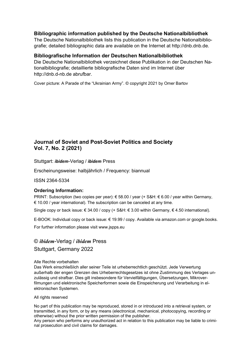#### **Bibliographic information published by the Deutsche Nationalbibliothek**

The Deutsche Nationalbibliothek lists this publication in the Deutsche Nationalbibliografie; detailed bibliographic data are available on the Internet at http://dnb.dnb.de.

#### **Bibliografische Information der Deutschen Nationalbibliothek**

Die Deutsche Nationalbibliothek verzeichnet diese Publikation in der Deutschen Nationalbibliografie; detaillierte bibliografische Daten sind im Internet über http://dnb.d-nb.de abrufbar.

Cover picture: A Parade of the "Ukrainian Army". © copyright 2021 by Omer Bartov

#### **Journal of Soviet and Post-Soviet Politics and Society Vol. 7, No. 2 (2021)**

Stuttgart: *ibidem*-Verlag / *ibidem* Press

Erscheinungsweise: halbjährlich / Frequency: biannual

ISSN 2364-5334

#### **Ordering Information:**

PRINT: Subscription (two copies per year): € 58.00 / year (+ S&H: € 6.00 / year within Germany, € 10.00 / year international). The subscription can be canceled at any time.

Single copy or back issue:  $\in$  34.00 / copy (+ S&H:  $\in$  3.00 within Germany,  $\in$  4.50 international).

E-BOOK: Individual copy or back issue: € 19.99 / copy. Available via amazon.com or google.books.

For further information please visit www.jspps.eu

#### © *ibidem*-Verlag / *ibidem* Press

#### Stuttgart, Germany 2022

#### Alle Rechte vorbehalten

Das Werk einschließlich aller seiner Teile ist urheberrechtlich geschützt. Jede Verwertung außerhalb der engen Grenzen des Urheberrechtsgesetzes ist ohne Zustimmung des Verlages unzulässig und strafbar. Dies gilt insbesondere für Vervielfältigungen, Übersetzungen, Mikroverfilmungen und elektronische Speicherformen sowie die Einspeicherung und Verarbeitung in elektronischen Systemen.

#### All rights reserved

No part of this publication may be reproduced, stored in or introduced into a retrieval system, or transmitted, in any form, or by any means (electronical, mechanical, photocopying, recording or otherwise) without the prior written permission of the publisher.

Any person who performs any unauthorized act in relation to this publication may be liable to criminal prosecution and civil claims for damages.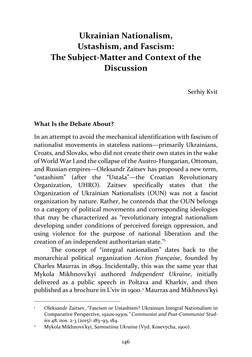### **Ukrainian Nationalism, Ustashism, and Fascism: The Subject-Matter and Context of the Discussion**

Serhiy Kvit

#### **What Is the Debate About?**

In an attempt to avoid the mechanical identification with fascism of nationalist movements in stateless nations—primarily Ukrainians, Croats, and Slovaks, who did not create their own states in the wake of World War I and the collapse of the Austro-Hungarian, Ottoman, and Russian empires—Oleksandr Zaitsev has proposed a new term, "ustashism" (after the "Ustaša"—the Croatian Revolutionary Organization, UHRO). Zaitsev specifically states that the Organization of Ukrainian Nationalists (OUN) was not a fascist organization by nature. Rather, he contends that the OUN belongs to a category of political movements and corresponding ideologies that may be characterized as "revolutionary integral nationalism developing under conditions of perceived foreign oppression, and using violence for the purpose of national liberation and the creation of an independent authoritarian state."1

The concept of "integral nationalism" dates back to the monarchical political organization *Action française*, founded by Charles Maurras in 1899. Incidentally, this was the same year that Mykola Mikhnovs'kyi authored *Independent Ukraine*, initially delivered as a public speech in Poltava and Kharkiv, and then published as a brochure in L'viv in 1900.<sup>2</sup> Maurras and Mikhnovs'kyi

<sup>1</sup> Oleksandr Zaitsev, "Fascism or Ustashism? Ukrainian Integral Nationalism in Comparative Perspective, 1920s-1930s*," Communist and Post-Communist Studies* 48, nos. 2-3 (2015): 183–93, 184. 2 Mykola Mikhnovs'kyi, *Samostiina Ukraina* (Vyd. Kosevycha, 1900).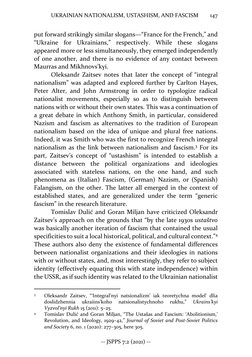put forward strikingly similar slogans—"France for the French," and "Ukraine for Ukrainians," respectively. While these slogans appeared more or less simultaneously, they emerged independently of one another, and there is no evidence of any contact between Maurras and Mikhnovs'kyi.

Oleksandr Zaitsev notes that later the concept of "integral nationalism" was adapted and explored further by Carlton Hayes, Peter Alter, and John Armstrong in order to typologize radical nationalist movements, especially so as to distinguish between nations with or without their own states. This was a continuation of a great debate in which Anthony Smith, in particular, considered Nazism and fascism as alternatives to the tradition of European nationalism based on the idea of unique and plural free nations. Indeed, it was Smith who was the first to recognize French integral nationalism as the link between nationalism and fascism.3 For its part, Zaitsev's concept of "ustashism" is intended to establish a distance between the political organizations and ideologies associated with stateless nations, on the one hand, and such phenomena as (Italian) Fascism, (German) Nazism, or (Spanish) Falangism, on the other. The latter all emerged in the context of established states, and are generalized under the term "generic fascism" in the research literature.

Tomislav Dulić and Goran Miljan have criticized Oleksandr Zaitsev's approach on the grounds that "by the late 1930s *ustaštvo* was basically another iteration of fascism that contained the usual specificities to suit a local historical, political, and cultural context."4 These authors also deny the existence of fundamental differences between nationalist organizations and their ideologies in nations with or without states, and, most interestingly, they refer to subject identity (effectively equating this with state independence) within the USSR, as if such identity was related to the Ukrainian nationalist

<sup>3</sup> Oleksandr Zaitsev, "'Integral'nyi natsionalizm' iak teoretychna model' dlia doslidzhennia ukraiins'koho natsionalistychnoho rukhu," *Ukrains'kyi Vyzvol'nyi Rukh* 15 (2011): 5–25. 4 Tomislav Dulić and Goran Miljan, "The Ustašas and Fascism: 'Abolitionism,'

Revolution, and Ideology, 1929–42," *Journal of Soviet and Post-Soviet Politics and Society* 6, no. 1 (2020): 277–305, here 305.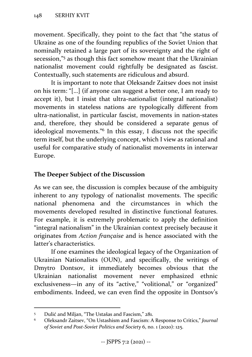movement. Specifically, they point to the fact that "the status of Ukraine as one of the founding republics of the Soviet Union that nominally retained a large part of its sovereignty and the right of secession,"<sup>5</sup> as though this fact somehow meant that the Ukrainian nationalist movement could rightfully be designated as fascist. Contextually, such statements are ridiculous and absurd.

It is important to note that Oleksandr Zaitsev does not insist on his term: "[…] (if anyone can suggest a better one, I am ready to accept it), but I insist that ultra-nationalist (integral nationalist) movements in stateless nations are typologically different from ultra-nationalist, in particular fascist, movements in nation-states and, therefore, they should be considered a separate genus of ideological movements."6 In this essay, I discuss not the specific term itself, but the underlying concept, which I view as rational and useful for comparative study of nationalist movements in interwar Europe.

#### **The Deeper Subject of the Discussion**

As we can see, the discussion is complex because of the ambiguity inherent to any typology of nationalist movements. The specific national phenomena and the circumstances in which the movements developed resulted in distinctive functional features. For example, it is extremely problematic to apply the definition "integral nationalism" in the Ukrainian context precisely because it originates from *Action française* and is hence associated with the latter's characteristics.

If one examines the ideological legacy of the Organization of Ukrainian Nationalists (OUN), and specifically, the writings of Dmytro Dontsov, it immediately becomes obvious that the Ukrainian nationalist movement never emphasized ethnic exclusiveness—in any of its "active," "volitional," or "organized" embodiments. Indeed, we can even find the opposite in Dontsov's

<sup>5</sup> Dulić and Miljan, "The Ustašas and Fascism," 281. 6 Oleksandr Zaitsev, "On Ustashism and Fascism: A Response to Critics," *Journal of Soviet and Post-Soviet Politics and Society* 6, no. 1 (2020): 125.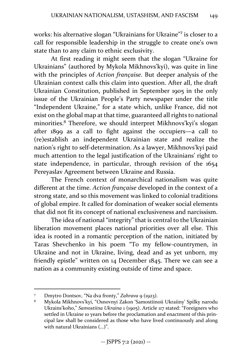works: his alternative slogan "Ukrainians for Ukraine"<sup>7</sup> is closer to a call for responsible leadership in the struggle to create one's own state than to any claim to ethnic exclusivity.

At first reading it might seem that the slogan "Ukraine for Ukrainians" (authored by Mykola Mikhnovs'kyi), was quite in line with the principles of *Action française*. But deeper analysis of the Ukrainian context calls this claim into question. After all, the draft Ukrainian Constitution, published in September 1905 in the only issue of the Ukrainian People's Party newspaper under the title "Independent Ukraine," for a state which, unlike France, did not exist on the global map at that time, guaranteed all rights to national minorities.8 Therefore, we should interpret Mikhnovs'kyi's slogan after 1899 as a call to fight against the occupiers—a call to (re)establish an independent Ukrainian state and realize the nation's right to self-determination. As a lawyer, Mikhnovs'kyi paid much attention to the legal justification of the Ukrainians' right to state independence, in particular, through revision of the 1654 Pereyaslav Agreement between Ukraine and Russia.

The French context of monarchical nationalism was quite different at the time. *Action française* developed in the context of a strong state, and so this movement was linked to colonial traditions of global empire. It called for domination of weaker social elements that did not fit its concept of national exclusiveness and narcissism.

The idea of national "integrity" that is central to the Ukrainian liberation movement places national priorities over all else. This idea is rooted in a romantic perception of the nation, initiated by Taras Shevchenko in his poem "To my fellow-countrymen, in Ukraine and not in Ukraine, living, dead and as yet unborn, my friendly epistle" written on 14 December 1845. There we can see a nation as a community existing outside of time and space.

<sup>7</sup> Dmytro Dontsov, "Na dva fronty," *Zahrava* 9 (1923). 8 Mykola Mikhnovs'kyi, "Osnovnyi Zakon 'Samostiinoii Ukraiiny' Spilky narodu Ukrains'koho," *Samostiina Ukraina* 1 (1905). Article 117 stated: "Foreigners who settled in Ukraine 10 years before the proclamation and enactment of this principal law shall be considered as those who have lived continuously and along with natural Ukrainians (…)".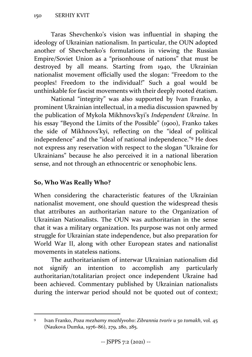Taras Shevchenko's vision was influential in shaping the ideology of Ukrainian nationalism. In particular, the OUN adopted another of Shevchenko's formulations in viewing the Russian Empire/Soviet Union as a "prisonhouse of nations" that must be destroyed by all means. Starting from 1940, the Ukrainian nationalist movement officially used the slogan: "Freedom to the peoples! Freedom to the individual!" Such a goal would be unthinkable for fascist movements with their deeply rooted étatism.

National "integrity" was also supported by Ivan Franko, a prominent Ukrainian intellectual, in a media discussion spawned by the publication of Mykola Mikhnovs'kyi's *Independent Ukraine*. In his essay "Beyond the Limits of the Possible" (1900), Franko takes the side of Mikhnovs'kyi, reflecting on the "ideal of political independence" and the "ideal of national independence."9 He does not express any reservation with respect to the slogan "Ukraine for Ukrainians" because he also perceived it in a national liberation sense, and not through an ethnocentric or xenophobic lens.

#### **So, Who Was Really Who?**

When considering the characteristic features of the Ukrainian nationalist movement, one should question the widespread thesis that attributes an authoritarian nature to the Organization of Ukrainian Nationalists. The OUN was authoritarian in the sense that it was a military organization. Its purpose was not only armed struggle for Ukrainian state independence, but also preparation for World War II, along with other European states and nationalist movements in stateless nations.

The authoritarianism of interwar Ukrainian nationalism did not signify an intention to accomplish any particularly authoritarian/totalitarian project once independent Ukraine had been achieved. Commentary published by Ukrainian nationalists during the interwar period should not be quoted out of context;

<sup>9</sup> Ivan Franko, *Poza mezhamy mozhlyvoho*: *Zibrannia tvoriv u 50 tomakh*, vol. 45 (Naukova Dumka, 1976–86), 279, 280, 285.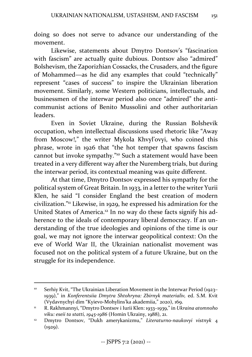doing so does not serve to advance our understanding of the movement.

Likewise, statements about Dmytro Dontsov's "fascination with fascism" are actually quite dubious. Dontsov also "admired" Bolshevism, the Zaporizhian Cossacks, the Crusaders, and the figure of Mohammed—as he did any examples that could "technically" represent "cases of success" to inspire the Ukrainian liberation movement. Similarly, some Western politicians, intellectuals, and businessmen of the interwar period also once "admired" the anticommunist actions of Benito Mussolini and other authoritarian leaders.

Even in Soviet Ukraine, during the Russian Bolshevik occupation, when intellectual discussions used rhetoric like "Away from Moscow!," the writer Mykola Khvyl'ovyi, who coined this phrase, wrote in 1926 that "the hot temper that spawns fascism cannot but invoke sympathy."10 Such a statement would have been treated in a very different way after the Nuremberg trials, but during the interwar period, its contextual meaning was quite different.

At that time, Dmytro Dontsov expressed his sympathy for the political system of Great Britain. In 1933, in a letter to the writer Yurii Klen, he said "I consider England the best creation of modern civilization." $\mu$  Likewise, in 1929, he expressed his admiration for the United States of America.<sup>12</sup> In no way do these facts signify his adherence to the ideals of contemporary liberal democracy. If an understanding of the true ideologies and opinions of the time is our goal, we may not ignore the interwar geopolitical context: On the eve of World War II, the Ukrainian nationalist movement was focused not on the political system of a future Ukraine, but on the struggle for its independence.

<sup>&</sup>lt;sup>10</sup> Serhiy Kvit, "The Ukrainian Liberation Movement in the Interwar Period (1923– 1939)," in *Konferentsiia Dmytra Shtohryna: Zbirnyk materialiv,* ed. S.M. Kvit (Vydavnychyi dim "Kyievo-Mohylins'ka akademiia," 2020), 169. 11 R. Rakhmannyi, "Dmytro Dontsov i Iurii Klen: 1933–1939," in *Ukraina atomnoho* 

*viku: eseii ta statti, 1945-1986* (Homin Ukrainy, 1988), 21. 12 Dmytro Dontsov, "Dukh amerykanizmu," *Literaturno-naukovyi vistnyk*<sup>4</sup>

 $(1929).$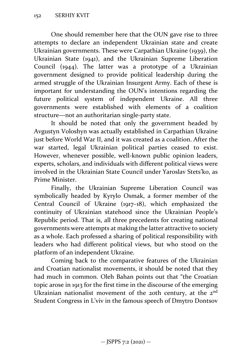One should remember here that the OUN gave rise to three attempts to declare an independent Ukrainian state and create Ukrainian governments. These were Carpathian Ukraine (1939), the Ukrainian State (1941), and the Ukrainian Supreme Liberation Council (1944). The latter was a prototype of a Ukrainian government designed to provide political leadership during the armed struggle of the Ukrainian Insurgent Army. Each of these is important for understanding the OUN's intentions regarding the future political system of independent Ukraine. All three governments were established with elements of a coalition structure—not an authoritarian single-party state.

It should be noted that only the government headed by Avgustyn Voloshyn was actually established in Carpathian Ukraine just before World War II, and it was created as a coalition. After the war started, legal Ukrainian political parties ceased to exist. However, whenever possible, well-known public opinion leaders, experts, scholars, and individuals with different political views were involved in the Ukrainian State Council under Yaroslav Stets'ko, as Prime Minister.

Finally, the Ukrainian Supreme Liberation Council was symbolically headed by Kyrylo Osmak, a former member of the Central Council of Ukraine (1917–18), which emphasized the continuity of Ukrainian statehood since the Ukrainian People's Republic period. That is, all three precedents for creating national governments were attempts at making the latter attractive to society as a whole. Each professed a sharing of political responsibility with leaders who had different political views, but who stood on the platform of an independent Ukraine.

Coming back to the comparative features of the Ukrainian and Croatian nationalist movements, it should be noted that they had much in common. Oleh Bahan points out that "the Croatian topic arose in 1913 for the first time in the discourse of the emerging Ukrainian nationalist movement of the 20th century, at the  $2<sup>nd</sup>$ Student Congress in L'viv in the famous speech of Dmytro Dontsov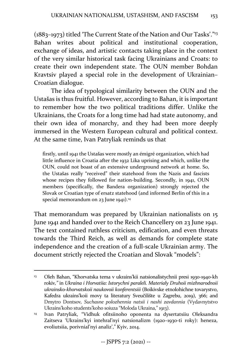(1883–1973) titled 'The Current State of the Nation and Our Tasks'."13 Bahan writes about political and institutional cooperation, exchange of ideas, and artistic contacts taking place in the context of the very similar historical task facing Ukrainians and Croats: to create their own independent state. The OUN member Bohdan Kravtsiv played a special role in the development of Ukrainian– Croatian dialogue.

The idea of typological similarity between the OUN and the Ustašas is thus fruitful. However, according to Bahan, it is important to remember how the two political traditions differ. Unlike the Ukrainians, the Croats for a long time had had state autonomy, and their own idea of monarchy, and they had been more deeply immersed in the Western European cultural and political context. At the same time, Ivan Patryliak reminds us that

firstly, until 1941 the Ustašas were mostly an émigré organization, which had little influence in Croatia after the 1932 Lika uprising and which, unlike the OUN, could not boast of an extensive underground network at home. So, the Ustašas really "received" their statehood from the Nazis and fascists whose recipes they followed for nation-building. Secondly, in 1941, OUN members (specifically, the Bandera organization) strongly rejected the Slovak or Croatian type of ersatz statehood (and informed Berlin of this in a special memorandum on 23 June 1941).<sup>14</sup>

That memorandum was prepared by Ukrainian nationalists on 15 June 1941 and handed over to the Reich Chancellery on 23 June 1941. The text contained ruthless criticism, edification, and even threats towards the Third Reich, as well as demands for complete state independence and the creation of a full-scale Ukrainian army. The document strictly rejected the Croatian and Slovak "models":

<sup>&</sup>lt;sup>13</sup> Oleh Bahan, "Khorvatska tema v ukrains'kii natsionalistychnii presi 1930-1940-kh rokiv*,"* in *Ukraina i Horvatiia: Istorychni paraleli. Materialy Druhoii mizhnarodnoii ukrainsko-khorvatskoii naukovoii konferentsiii* (Boikivske etnolohichne tovarystvo, Kafedra ukrains'koii movy ta literatury Sveučilište u Zagrebu, 2019), 366; and Dmytro Dontsov*, Suchasne polozhennia natsii i nashi zavdannia* (Vydavnytstvo Ukrains'koho students'koho soiuza "Moloda Ukraina," 1913). 14 Ivan Patryliak, "Vidhuk ofitsiinoho oponenta na dysertatsiiu Oleksandra

Zaitseva 'Ukrains'kyi intehral'nyi natsionalizm (1920–1930-ti roky): heneza, evoliutsiia, porivnial'nyi analiz'," Kyiv, 2014.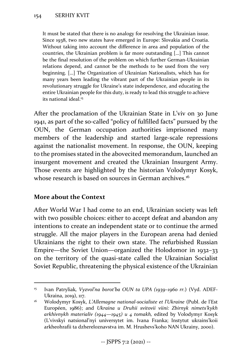It must be stated that there is no analogy for resolving the Ukrainian issue. Since 1938, two new states have emerged in Europe: Slovakia and Croatia. Without taking into account the difference in area and population of the countries, the Ukrainian problem is far more outstanding […] This cannot be the final resolution of the problem on which further German-Ukrainian relations depend, and cannot be the methods to be used from the very beginning. […] The Organization of Ukrainian Nationalists, which has for many years been leading the vibrant part of the Ukrainian people in its revolutionary struggle for Ukraine's state independence, and educating the entire Ukrainian people for this duty, is ready to lead this struggle to achieve its national ideal<sup>15</sup>

After the proclamation of the Ukrainian State in L'viv on 30 June 1941, as part of the so-called "policy of fulfilled facts" pursued by the OUN, the German occupation authorities imprisoned many members of the leadership and started large-scale repressions against the nationalist movement. In response, the OUN, keeping to the promises stated in the abovecited memorandum, launched an insurgent movement and created the Ukrainian Insurgent Army. Those events are highlighted by the historian Volodymyr Kosyk, whose research is based on sources in German archives.<sup>16</sup>

#### **More about the Context**

After World War I had come to an end, Ukrainian society was left with two possible choices: either to accept defeat and abandon any intentions to create an independent state or to continue the armed struggle. All the major players in the European arena had denied Ukrainians the right to their own state. The refurbished Russian Empire—the Soviet Union—organized the Holodomor in 1932–33 on the territory of the quasi-state called the Ukrainian Socialist Soviet Republic, threatening the physical existence of the Ukrainian

<sup>15</sup> Ivan Patryliak*, Vyzvol'na borot'ba OUN ta UPA (1939–1960 rr.*) (Vyd. ADEF-Ukraina, 2019), 117. 16 Wolodymyr Kosyk, *L'Allemagne national-socialiste et l'Ukraine* (Publ. de l'Est

Européen, 1986); and *Ukraina u Druhii svitovii viini: Zbirnyk nimets'kykh arkhivnykh materialiv (1944—1945) u 4 tomakh,* edited by Volodymyr Kosyk (L'vivskyi natsional'nyi universytet im. Ivana Franka; Instytut ukrains'koii arkheohrafii ta dzhereloznavstva im. M. Hrushevs'koho NAN Ukrainy, 2000).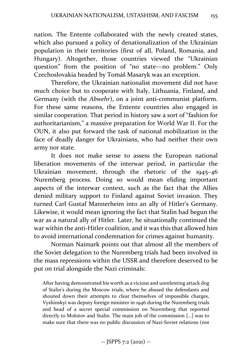nation. The Entente collaborated with the newly created states, which also pursued a policy of denationalization of the Ukrainian population in their territories (first of all, Poland, Romania, and Hungary). Altogether, those countries viewed the "Ukrainian question" from the position of "no state—no problem." Only Czechoslovakia headed by Tomáš Masaryk was an exception.

Therefore, the Ukrainian nationalist movement did not have much choice but to cooperate with Italy, Lithuania, Finland, and Germany (with the *Abwehr*), on a joint anti-communist platform. For these same reasons, the Entente countries also engaged in similar cooperation. That period in history saw a sort of "fashion for authoritarianism," a massive preparation for World War II. For the OUN, it also put forward the task of national mobilization in the face of deadly danger for Ukrainians, who had neither their own army nor state.

It does not make sense to assess the European national liberation movements of the interwar period, in particular the Ukrainian movement, through the rhetoric of the 1945–46 Nuremberg process. Doing so would mean eliding important aspects of the interwar context, such as the fact that the Allies denied military support to Finland against Soviet invasion. They turned Carl Gustaf Mannerheim into an ally of Hitler's Germany. Likewise, it would mean ignoring the fact that Stalin had begun the war as a natural ally of Hitler. Later, he situationally continued the war within the anti-Hitler coalition, and it was this that allowed him to avoid international condemnation for crimes against humanity.

Norman Naimark points out that almost all the members of the Soviet delegation to the Nuremberg trials had been involved in the mass repressions within the USSR and therefore deserved to be put on trial alongside the Nazi criminals:

After having demonstrated his worth as a vicious and unrelenting attack dog of Stalin's during the Moscow trials, where he abused the defendants and shouted down their attempts to clear themselves of impossible charges, Vyshinskyi was deputy foreign minister in 1946 during the Nuremberg trials and head of a secret special commission on Nuremberg that reported directly to Molotov and Stalin. The main job of the commission […] was to make sure that there was no public discussion of Nazi-Soviet relations (not

-- JSPPS 7:2 (2021) --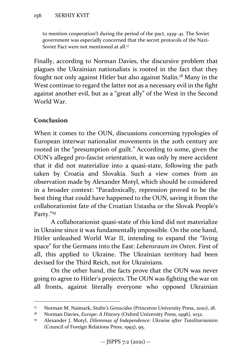to mention cooperation!) during the period of the pact, 1939–41. The Soviet government was especially concerned that the secret protocols of the Nazi-Soviet Pact were not mentioned at all.<sup>17</sup>

Finally, according to Norman Davies, the discursive problem that plagues the Ukrainian nationalists is rooted in the fact that they fought not only against Hitler but also against Stalin.18 Many in the West continue to regard the latter not as a necessary evil in the fight against another evil, but as a "great ally" of the West in the Second World War.

#### **Conclusion**

When it comes to the OUN, discussions concerning typologies of European interwar nationalist movements in the 20th century are rooted in the "presumption of guilt." According to some, given the OUN's alleged pro-fascist orientation, it was only by mere accident that it did not materialize into a quasi-state, following the path taken by Croatia and Slovakia. Such a view comes from an observation made by Alexander Motyl, which should be considered in a broader context: "Paradoxically, repression proved to be the best thing that could have happened to the OUN, saving it from the collaborationist fate of the Croatian Ustasha or the Slovak People's Party."<sup>19</sup>

A collaborationist quasi-state of this kind did not materialize in Ukraine since it was fundamentally impossible. On the one hand, Hitler unleashed World War II, intending to expand the "living space" for the Germans into the East: *Lebensraum im Osten*. First of all, this applied to Ukraine. The Ukrainian territory had been devised for the Third Reich, not for Ukrainians.

On the other hand, the facts prove that the OUN was never going to agree to Hitler's projects. The OUN was fighting the war on all fronts, against literally everyone who opposed Ukrainian

<sup>&</sup>lt;sup>17</sup> Norman M. Naimark, *Stalin's Genocides* (Princeton University Press, 2010), 18.<br><sup>18</sup> Norman Davies, *Europe: A History* (Oxford University Press, 1996), 1032.<br><sup>19</sup> Alexander J. Motyl, *Dilemmas of Independence: Ukrai* 

<sup>(</sup>Council of Foreign Relations Press, 1993), 95.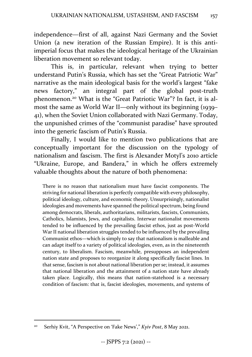independence—first of all, against Nazi Germany and the Soviet Union (a new iteration of the Russian Empire). It is this antiimperial focus that makes the ideological heritage of the Ukrainian liberation movement so relevant today.

This is, in particular, relevant when trying to better understand Putin's Russia, which has set the "Great Patriotic War" narrative as the main ideological basis for the world's largest "fake news factory," an integral part of the global post-truth phenomenon.20 What is the "Great Patriotic War"? In fact, it is almost the same as World War II—only without its beginning (1939– 41), when the Soviet Union collaborated with Nazi Germany. Today, the unpunished crimes of the "communist paradise" have sprouted into the generic fascism of Putin's Russia.

Finally, I would like to mention two publications that are conceptually important for the discussion on the typology of nationalism and fascism. The first is Alexander Motyl's 2010 article "Ukraine, Europe, and Bandera," in which he offers extremely valuable thoughts about the nature of both phenomena:

There is no reason that nationalism must have fascist components. The striving for national liberation is perfectly compatible with every philosophy, political ideology, culture, and economic theory. Unsurprisingly, nationalist ideologies and movements have spanned the political spectrum, being found among democrats, liberals, authoritarians, militarists, fascists, Communists, Catholics, Islamists, Jews, and capitalists. Interwar nationalist movements tended to be influenced by the prevailing fascist ethos, just as post-World War II national liberation struggles tended to be influenced by the prevailing Communist ethos—which is simply to say that nationalism is malleable and can adapt itself to a variety of political ideologies, even, as in the nineteenth century, to liberalism. Fascism, meanwhile, presupposes an independent nation state and proposes to reorganize it along specifically fascist lines. In that sense, fascism is not about national liberation per se; instead, it assumes that national liberation and the attainment of a nation state have already taken place. Logically, this means that nation-statehood is a necessary condition of fascism: that is, fascist ideologies, movements, and systems of

<sup>20</sup> Serhiy Kvit, "A Perspective on 'Fake News'," *Kyiv Post*, 8 May 2021.